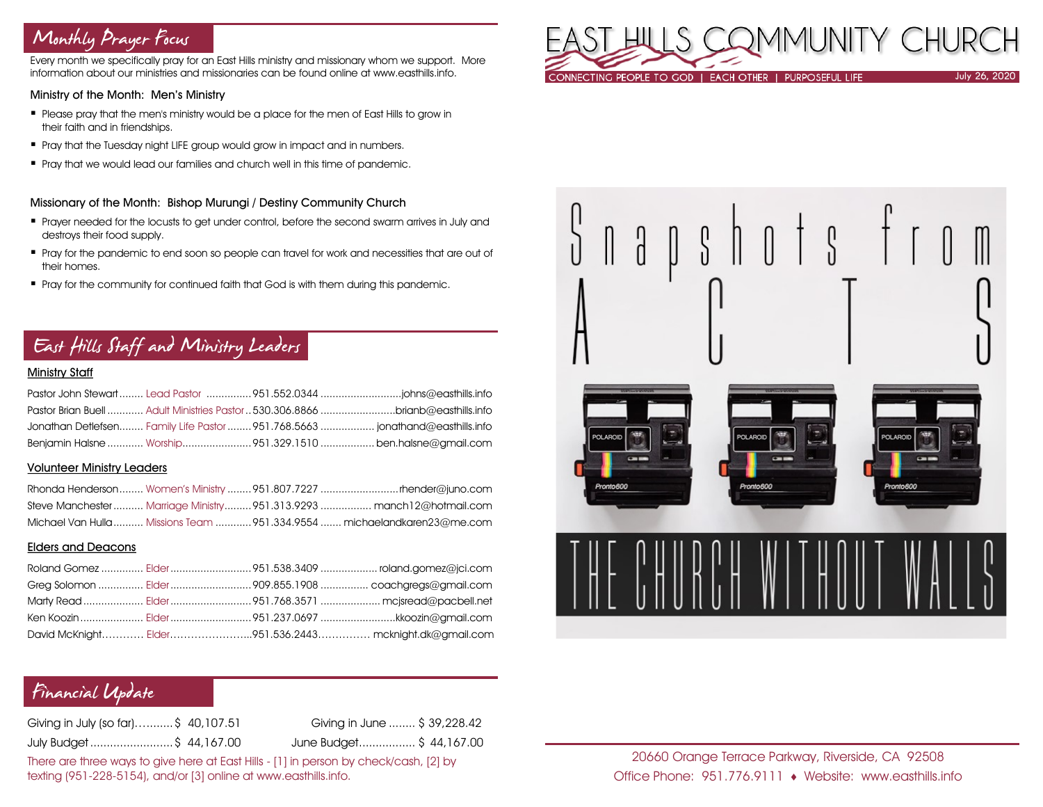# Monthly Prayer Focus

Every month we specifically pray for an East Hills ministry and missionary whom we support. More information about our ministries and missionaries can be found online at www.easthills.info.

#### Ministry of the Month: Men's Ministry

- Please pray that the men's ministry would be a place for the men of East Hills to grow in their faith and in friendships.
- **•** Pray that the Tuesday night LIFE group would grow in impact and in numbers.
- **•** Pray that we would lead our families and church well in this time of pandemic.

### Missionary of the Month: Bishop Murungi / Destiny Community Church

- Prayer needed for the locusts to get under control, before the second swarm arrives in July and destroys their food supply.
- Pray for the pandemic to end soon so people can travel for work and necessities that are out of their homes.
- **Pray for the community for continued faith that God is with them during this pandemic.**

# East Hills Staff and Ministry Leaders

### Ministry Staff

| Pastor Brian Buell  Adult Ministries Pastor  530.306.8866 brianb@easthills.info |  |
|---------------------------------------------------------------------------------|--|
| Jonathan Detlefsen Family Life Pastor  951.768.5663  jonathand@easthills.info   |  |
| Benjamin Halsne  Worship951.329.1510  ben.halsne@gmail.com                      |  |

#### Volunteer Ministry Leaders

|  | Steve Manchester  Marriage Ministry 951.313.9293  manch12@hotmail.com    |
|--|--------------------------------------------------------------------------|
|  | Michael Van Hulla  Missions Team  951.334.9554  michaelandkaren23@me.com |

#### Elders and Deacons

|  | David McKnight Elder951.536.2443 mcknight.dk@gmail.com |
|--|--------------------------------------------------------|

# Financial Update

Giving in July (so far)…........ \$ 40,107.51 Giving in June ........ \$ 39,228.42 July Budget .........................\$ 44,167.00 June Budget................. \$ 44,167.00

There are three ways to give here at East Hills - [1] in person by check/cash, [2] by texting (951-228-5154), and/or [3] online at www.easthills.info.